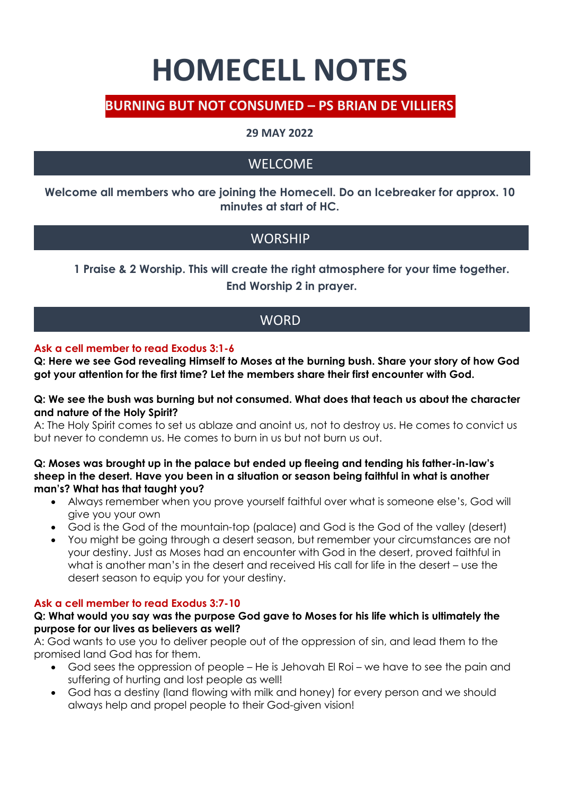# **HOMECELL NOTES**

## **BURNING BUT NOT CONSUMED – PS BRIAN DE VILLIERS**

## **29 MAY 2022**

# WELCOME

**Welcome all members who are joining the Homecell. Do an Icebreaker for approx. 10 minutes at start of HC.**

# **WORSHIP**

**1 Praise & 2 Worship. This will create the right atmosphere for your time together. End Worship 2 in prayer.**

## **WORD**

#### **Ask a cell member to read Exodus 3:1-6**

**Q: Here we see God revealing Himself to Moses at the burning bush. Share your story of how God got your attention for the first time? Let the members share their first encounter with God.**

#### **Q: We see the bush was burning but not consumed. What does that teach us about the character and nature of the Holy Spirit?**

A: The Holy Spirit comes to set us ablaze and anoint us, not to destroy us. He comes to convict us but never to condemn us. He comes to burn in us but not burn us out.

#### **Q: Moses was brought up in the palace but ended up fleeing and tending his father-in-law's sheep in the desert. Have you been in a situation or season being faithful in what is another man's? What has that taught you?**

- Always remember when you prove yourself faithful over what is someone else's, God will give you your own
- God is the God of the mountain-top (palace) and God is the God of the valley (desert)
- You might be going through a desert season, but remember your circumstances are not your destiny. Just as Moses had an encounter with God in the desert, proved faithful in what is another man's in the desert and received His call for life in the desert – use the desert season to equip you for your destiny.

#### **Ask a cell member to read Exodus 3:7-10**

#### **Q: What would you say was the purpose God gave to Moses for his life which is ultimately the purpose for our lives as believers as well?**

A: God wants to use you to deliver people out of the oppression of sin, and lead them to the promised land God has for them.

- God sees the oppression of people He is Jehovah El Roi we have to see the pain and suffering of hurting and lost people as well!
- God has a destiny (land flowing with milk and honey) for every person and we should always help and propel people to their God-given vision!